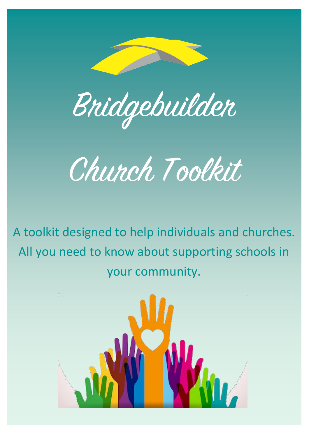Bridgebuilder

Church Toolkit

A toolkit designed to help individuals and churches. All you need to know about supporting schools in your community.

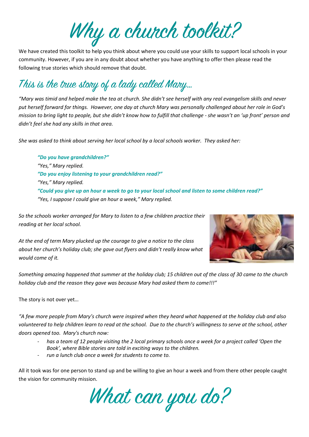Why a church toolkit?

We have created this toolkit to help you think about where you could use your skills to support local schools in your community. However, if you are in any doubt about whether you have anything to offer then please read the following true stories which should remove that doubt.

## This is the true story of a lady called Mary...

*"Mary was timid and helped make the tea at church. She didn't see herself with any real evangelism skills and never put herself forward for things. However, one day at church Mary was personally challenged about her role in God's mission to bring light to people, but she didn't know how to fulfill that challenge - she wasn't an 'up front' person and didn't feel she had any skills in that area.* 

*She was asked to think about serving her local school by a local schools worker. They asked her:*

*"Do you have grandchildren?" "Yes," Mary replied. "Do you enjoy listening to your grandchildren read?" "Yes," Mary replied. "Could you give up an hour a week to go to your local school and listen to some children read?" "Yes, I suppose I could give an hour a week," Mary replied.*

*So the schools worker arranged for Mary to listen to a few children practice their reading at her local school.*



*At the end of term Mary plucked up the courage to give a notice to the class about her church's holiday club; she gave out flyers and didn't really know what would come of it.* 

*Something amazing happened that summer at the holiday club; 15 children out of the class of 30 came to the church holiday club and the reason they gave was because Mary had asked them to come!!!"*

The story is not over yet…

*"A few more people from Mary's church were inspired when they heard what happened at the holiday club and also volunteered to help children learn to read at the school. Due to the church's willingness to serve at the school, other doors opened too. Mary's church now:*

- *has a team of 12 people visiting the 2 local primary schools once a week for a project called 'Open the Book', where Bible stories are told in exciting ways to the children.*
- *run a lunch club once a week for students to come to.*

All it took was for one person to stand up and be willing to give an hour a week and from there other people caught the vision for community mission.

What can you do?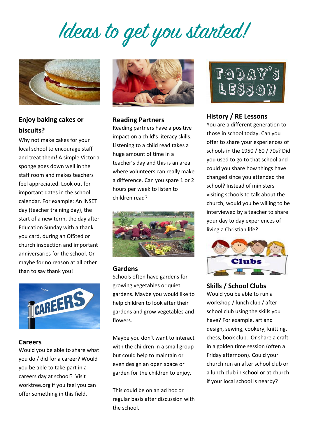# Ideas to get you started!



## **Enjoy baking cakes or biscuits?**

Why not make cakes for your local school to encourage staff and treat them! A simple Victoria sponge goes down well in the staff room and makes teachers feel appreciated. Look out for important dates in the school calendar. For example: An INSET day (teacher training day), the start of a new term, the day after Education Sunday with a thank you card, during an OfSted or church inspection and important anniversaries for the school. Or maybe for no reason at all other than to say thank you!



## **Careers**

Would you be able to share what you do / did for a career? Would you be able to take part in a careers day at school? Visit worktree.org if you feel you can offer something in this field.



### **Reading Partners**

Reading partners have a positive impact on a child's literacy skills. Listening to a child read takes a huge amount of time in a teacher's day and this is an area where volunteers can really make a difference. Can you spare 1 or 2 hours per week to listen to children read?



## **Gardens**

Schools often have gardens for growing vegetables or quiet gardens. Maybe you would like to help children to look after their gardens and grow vegetables and flowers.

Maybe you don't want to interact with the children in a small group but could help to maintain or even design an open space or garden for the children to enjoy.

This could be on an ad hoc or regular basis after discussion with the school.



## **History / RE Lessons**

You are a different generation to those in school today. Can you offer to share your experiences of schools in the 1950 / 60 / 70s? Did you used to go to that school and could you share how things have changed since you attended the school? Instead of ministers visiting schools to talk about the church, would you be willing to be interviewed by a teacher to share your day to day experiences of living a Christian life?



**Skills / School Clubs** Would you be able to run a workshop / lunch club / after school club using the skills you have? For example, art and design, sewing, cookery, knitting, chess, book club. Or share a craft in a golden time session (often a Friday afternoon). Could your church run an after school club or a lunch club in school or at church if your local school is nearby?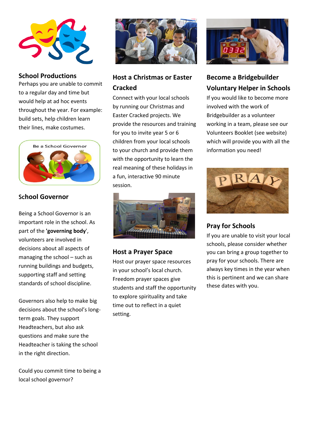

## **School Productions**

Perhaps you are unable to commit to a regular day and time but would help at ad hoc events throughout the year. For example: build sets, help children learn their lines, make costumes.



## **School Governor**

Being a School Governor is an important role in the school. As part of the **'governing body**', volunteers are involved in decisions about all aspects of managing the school – such as running buildings and budgets, supporting staff and setting standards of school discipline.

Governors also help to make big decisions about the school's longterm goals. They support Headteachers, but also ask questions and make sure the Headteacher is taking the school in the right direction.

Could you commit time to being a local school governor?



## **Host a Christmas or Easter Cracked**

Connect with your local schools by running our Christmas and Easter Cracked projects. We provide the resources and training for you to invite year 5 or 6 children from your local schools to your church and provide them with the opportunity to learn the real meaning of these holidays in a fun, interactive 90 minute session.



## **Host a Prayer Space**

Host our prayer space resources in your school's local church. Freedom prayer spaces give students and staff the opportunity to explore spirituality and take time out to reflect in a quiet setting.



## **Become a Bridgebuilder Voluntary Helper in Schools**

If you would like to become more involved with the work of Bridgebuilder as a volunteer working in a team, please see our Volunteers Booklet (see website) which will provide you with all the information you need!



## **Pray for Schools**

If you are unable to visit your local schools, please consider whether you can bring a group together to pray for your schools. There are always key times in the year when this is pertinent and we can share these dates with you.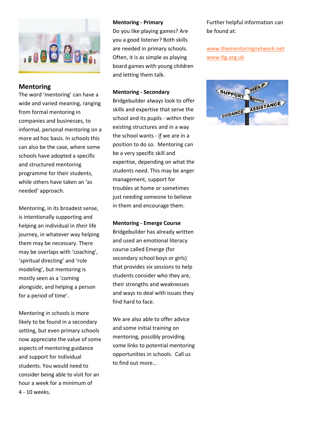

#### **Mentoring**

The word 'mentoring' can have a wide and varied meaning, ranging from formal mentoring in companies and businesses, to informal, personal mentoring on a more ad hoc basis. In schools this can also be the case, where some schools have adopted a specific and structured mentoring programme for their students, while others have taken an 'as needed' approach.

Mentoring, in its broadest sense, is intentionally supporting and helping an individual in *their* life journey, in whatever way helping them may be necessary. There may be overlaps with 'coaching', 'spiritual directing' and 'role modeling', but mentoring is mostly seen as a 'coming alongside, and helping a person for a period of time'.

Mentoring in schools is more likely to be found in a secondary setting, but even primary schools now appreciate the value of some aspects of mentoring guidance and support for individual students. You would need to consider being able to visit for an hour a week for a minimum of 4 - 10 weeks.

#### **Mentoring - Primary**

Do you like playing games? Are you a good listener? Both skills are needed in primary schools. Often, it is as simple as playing board games with young children and letting them talk.

#### **Mentoring - Secondary**

Bridgebuilder always look to offer skills and expertise that serve the school and its pupils - within their existing structures and in a way the school wants - if we are in a position to do so. Mentoring can be a very specific skill and expertise, depending on what the students need. This may be anger management, support for troubles at home or sometimes just needing someone to believe in them and encourage them.

#### **Mentoring - Emerge Course**

Bridgebuilder has already written and used an emotional literacy course called Emerge (for secondary school boys or girls) that provides six sessions to help students consider who they are, their strengths and weaknesses and ways to deal with issues they find hard to face.

We are also able to offer advice and some initial training on mentoring, possibly providing some links to potential mentoring opportunities in schools. Call us to find out more…

Further helpful information can be found at:

[www.thementoringnetwork.net](http://www.thementoringnetwork.net/) [www.tlg.org.uk](http://www.tlg.org.uk/)

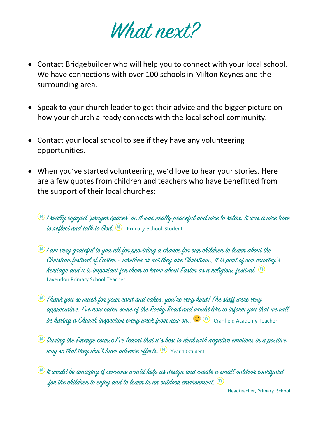What next?

- Contact Bridgebuilder who will help you to connect with your local school. We have connections with over 100 schools in Milton Keynes and the surrounding area.
- Speak to your church leader to get their advice and the bigger picture on how your church already connects with the local school community.
- Contact your local school to see if they have any volunteering opportunities.
- When you've started volunteering, we'd love to hear your stories. Here are a few quotes from children and teachers who have benefitted from the support of their local churches:
	- $\mathbf w$  I really enjoyed 'prayer spaces' as it was really peaceful and nice to relax. It was a nice time to neflect and talk to God.  $\bullet$  Primary School Student
	- $\mathbf{u}$  I am very grateful to you all for providing a chance for our children to learn about the Christian festival of Easter – whether or not they are Christians, it is part of our country's heritage and it is important for them to know about Easter as a religious festival.  $\mathbf{0}$ Lavendon Primary School Teacher.
	- Thank you so much for your card and cakes, you're very kind! The staff were very appreciative. I've now eaten some of the Rocky Road and would like to inform you that we will be having a Church inspection every week from now on...  $\Box$   $\Box$  Cranfield Academy Teacher
	- $\omega$  During the Emenge course I've learnt that it's best to deal with negative emotions in a positive way so that they don't have adverse effects.  $\mathbf{W}$  Year 10 student
	- $\mathbf w$  it would be amazing if someone would help us design and create a small outdoor courtyard .for the children to enjoy and to learn in an outdoor environment.  $\mathbf{u}$

Headteacher, Primary School